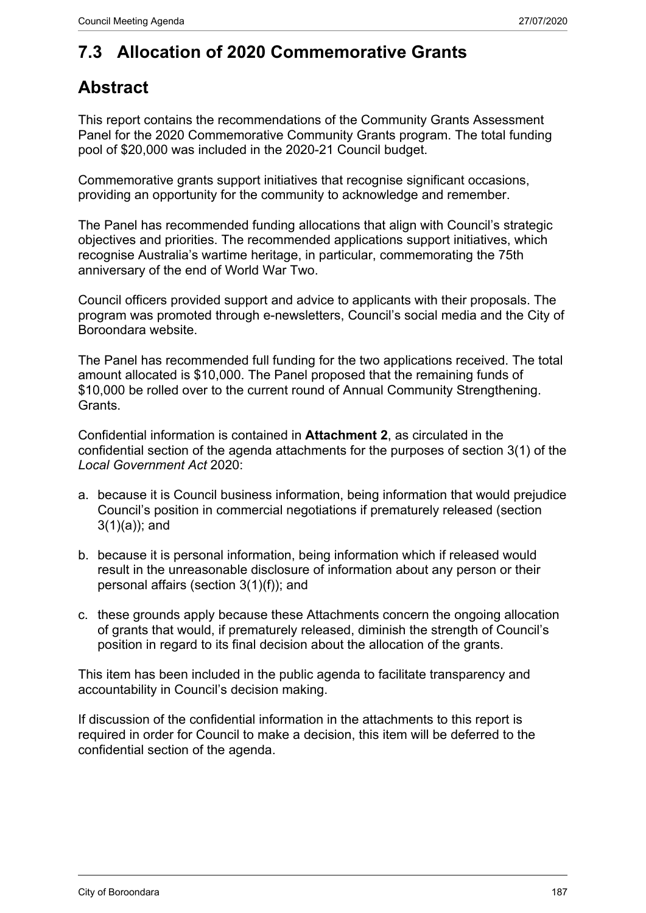## **7.3 Allocation of 2020 Commemorative Grants**

### **Abstract**

This report contains the recommendations of the Community Grants Assessment Panel for the 2020 Commemorative Community Grants program. The total funding pool of \$20,000 was included in the 2020-21 Council budget.

Commemorative grants support initiatives that recognise significant occasions, providing an opportunity for the community to acknowledge and remember.

The Panel has recommended funding allocations that align with Council's strategic objectives and priorities. The recommended applications support initiatives, which recognise Australia's wartime heritage, in particular, commemorating the 75th anniversary of the end of World War Two.

Council officers provided support and advice to applicants with their proposals. The program was promoted through e-newsletters, Council's social media and the City of Boroondara website.

The Panel has recommended full funding for the two applications received. The total amount allocated is \$10,000. The Panel proposed that the remaining funds of \$10,000 be rolled over to the current round of Annual Community Strengthening. **Grants** 

Confidential information is contained in **Attachment 2**, as circulated in the confidential section of the agenda attachments for the purposes of section 3(1) of the *Local Government Act* 2020:

- a. because it is Council business information, being information that would prejudice Council's position in commercial negotiations if prematurely released (section 3(1)(a)); and
- b. because it is personal information, being information which if released would result in the unreasonable disclosure of information about any person or their personal affairs (section 3(1)(f)); and
- c. these grounds apply because these Attachments concern the ongoing allocation of grants that would, if prematurely released, diminish the strength of Council's position in regard to its final decision about the allocation of the grants.

This item has been included in the public agenda to facilitate transparency and accountability in Council's decision making.

If discussion of the confidential information in the attachments to this report is required in order for Council to make a decision, this item will be deferred to the confidential section of the agenda.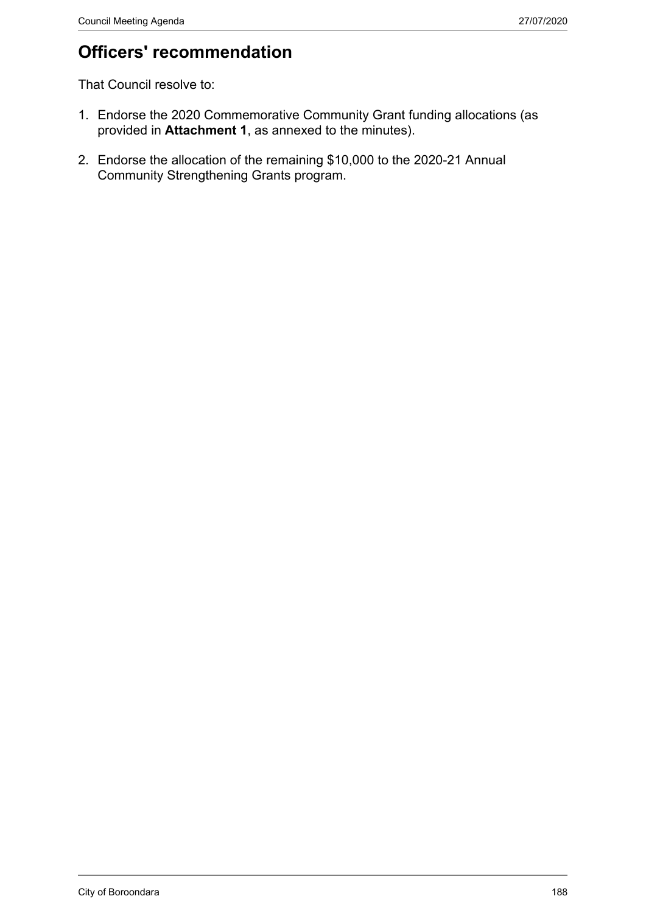# **Officers' recommendation**

That Council resolve to:

- 1. Endorse the 2020 Commemorative Community Grant funding allocations (as provided in **Attachment 1**, as annexed to the minutes).
- 2. Endorse the allocation of the remaining \$10,000 to the 2020-21 Annual Community Strengthening Grants program.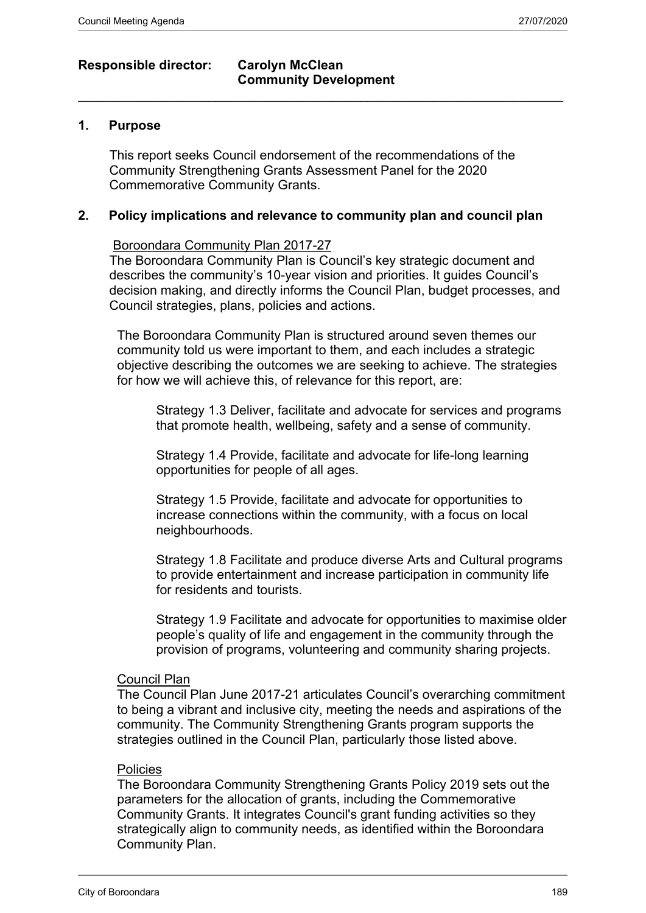### **Responsible director: Carolyn McClean**

### **Community Development**  $\_$  , and the set of the set of the set of the set of the set of the set of the set of the set of the set of the set of the set of the set of the set of the set of the set of the set of the set of the set of the set of th

#### **1. Purpose**

This report seeks Council endorsement of the recommendations of the Community Strengthening Grants Assessment Panel for the 2020 Commemorative Community Grants.

#### **2. Policy implications and relevance to community plan and council plan**

#### Boroondara Community Plan 2017-27

The Boroondara Community Plan is Council's key strategic document and describes the community's 10-year vision and priorities. It guides Council's decision making, and directly informs the Council Plan, budget processes, and Council strategies, plans, policies and actions.

The Boroondara Community Plan is structured around seven themes our community told us were important to them, and each includes a strategic objective describing the outcomes we are seeking to achieve. The strategies for how we will achieve this, of relevance for this report, are:

Strategy 1.3 Deliver, facilitate and advocate for services and programs that promote health, wellbeing, safety and a sense of community.

Strategy 1.4 Provide, facilitate and advocate for life-long learning opportunities for people of all ages.

Strategy 1.5 Provide, facilitate and advocate for opportunities to increase connections within the community, with a focus on local neighbourhoods.

Strategy 1.8 Facilitate and produce diverse Arts and Cultural programs to provide entertainment and increase participation in community life for residents and tourists.

Strategy 1.9 Facilitate and advocate for opportunities to maximise older people's quality of life and engagement in the community through the provision of programs, volunteering and community sharing projects.

#### Council Plan

The Council Plan June 2017-21 articulates Council's overarching commitment to being a vibrant and inclusive city, meeting the needs and aspirations of the community. The Community Strengthening Grants program supports the strategies outlined in the Council Plan, particularly those listed above.

#### **Policies**

The Boroondara Community Strengthening Grants Policy 2019 sets out the parameters for the allocation of grants, including the Commemorative Community Grants. It integrates Council's grant funding activities so they strategically align to community needs, as identified within the Boroondara Community Plan.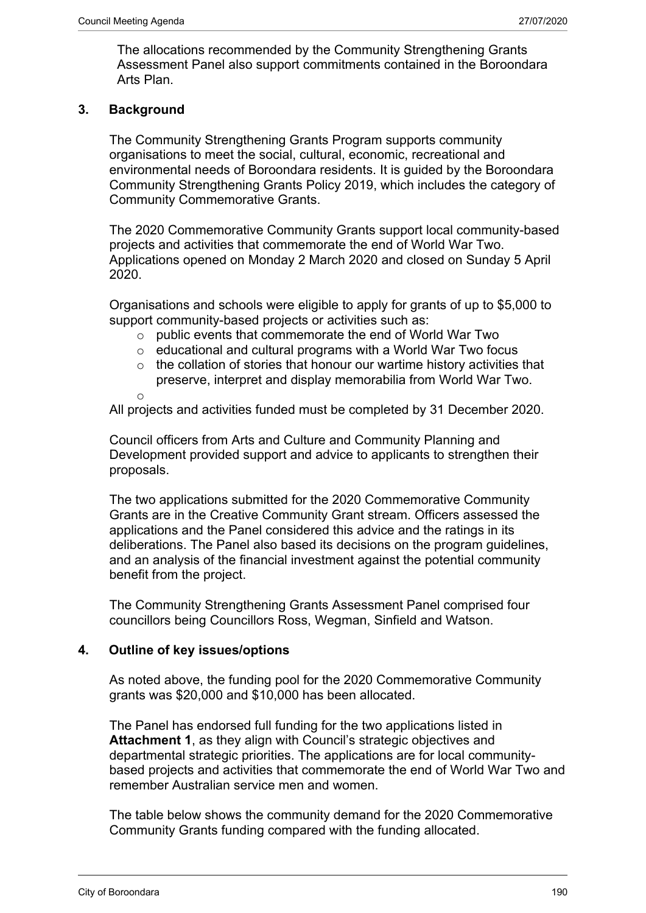The allocations recommended by the Community Strengthening Grants Assessment Panel also support commitments contained in the Boroondara Arts Plan.

#### **3. Background**

The Community Strengthening Grants Program supports community organisations to meet the social, cultural, economic, recreational and environmental needs of Boroondara residents. It is guided by the Boroondara Community Strengthening Grants Policy 2019, which includes the category of Community Commemorative Grants.

The 2020 Commemorative Community Grants support local community-based projects and activities that commemorate the end of World War Two. Applications opened on Monday 2 March 2020 and closed on Sunday 5 April 2020.

Organisations and schools were eligible to apply for grants of up to \$5,000 to support community-based projects or activities such as:

- o public events that commemorate the end of World War Two
- o educational and cultural programs with a World War Two focus
- $\circ$  the collation of stories that honour our wartime history activities that preserve, interpret and display memorabilia from World War Two.

o

All projects and activities funded must be completed by 31 December 2020.

Council officers from Arts and Culture and Community Planning and Development provided support and advice to applicants to strengthen their proposals.

The two applications submitted for the 2020 Commemorative Community Grants are in the Creative Community Grant stream. Officers assessed the applications and the Panel considered this advice and the ratings in its deliberations. The Panel also based its decisions on the program guidelines, and an analysis of the financial investment against the potential community benefit from the project.

The Community Strengthening Grants Assessment Panel comprised four councillors being Councillors Ross, Wegman, Sinfield and Watson.

### **4. Outline of key issues/options**

As noted above, the funding pool for the 2020 Commemorative Community grants was \$20,000 and \$10,000 has been allocated.

The Panel has endorsed full funding for the two applications listed in **Attachment 1**, as they align with Council's strategic objectives and departmental strategic priorities. The applications are for local communitybased projects and activities that commemorate the end of World War Two and remember Australian service men and women.

The table below shows the community demand for the 2020 Commemorative Community Grants funding compared with the funding allocated.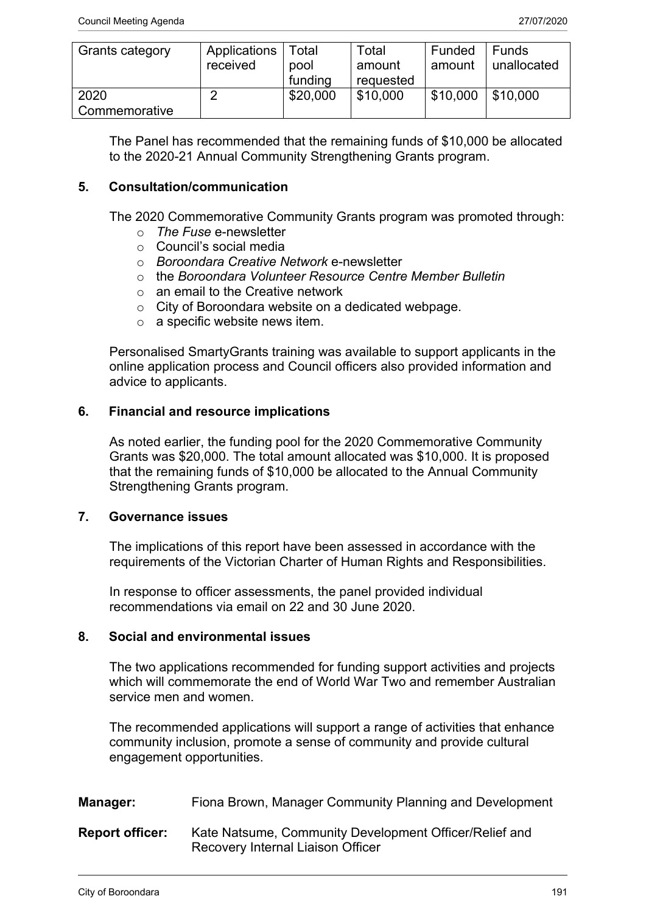| Grants category       | Applications  <br>received | Total<br>pool<br>funding | Total<br>amount<br>requested | Funded<br>amount | Funds<br>unallocated |
|-----------------------|----------------------------|--------------------------|------------------------------|------------------|----------------------|
| 2020<br>Commemorative |                            | \$20,000                 | \$10,000                     | \$10,000         | \$10,000             |

The Panel has recommended that the remaining funds of \$10,000 be allocated to the 2020-21 Annual Community Strengthening Grants program.

#### **5. Consultation/communication**

The 2020 Commemorative Community Grants program was promoted through:

- o *The Fuse* e-newsletter
- o Council's social media
- o *Boroondara Creative Network* e-newsletter
- o the *Boroondara Volunteer Resource Centre Member Bulletin*
- $\circ$  an email to the Creative network
- o City of Boroondara website on a dedicated webpage.
- $\circ$  a specific website news item.

Personalised SmartyGrants training was available to support applicants in the online application process and Council officers also provided information and advice to applicants.

#### **6. Financial and resource implications**

As noted earlier, the funding pool for the 2020 Commemorative Community Grants was \$20,000. The total amount allocated was \$10,000. It is proposed that the remaining funds of \$10,000 be allocated to the Annual Community Strengthening Grants program.

#### **7. Governance issues**

The implications of this report have been assessed in accordance with the requirements of the Victorian Charter of Human Rights and Responsibilities.

In response to officer assessments, the panel provided individual recommendations via email on 22 and 30 June 2020.

#### **8. Social and environmental issues**

The two applications recommended for funding support activities and projects which will commemorate the end of World War Two and remember Australian service men and women.

The recommended applications will support a range of activities that enhance community inclusion, promote a sense of community and provide cultural engagement opportunities.

| Manager:               | Fiona Brown, Manager Community Planning and Development                                     |  |  |
|------------------------|---------------------------------------------------------------------------------------------|--|--|
| <b>Report officer:</b> | Kate Natsume, Community Development Officer/Relief and<br>Recovery Internal Liaison Officer |  |  |